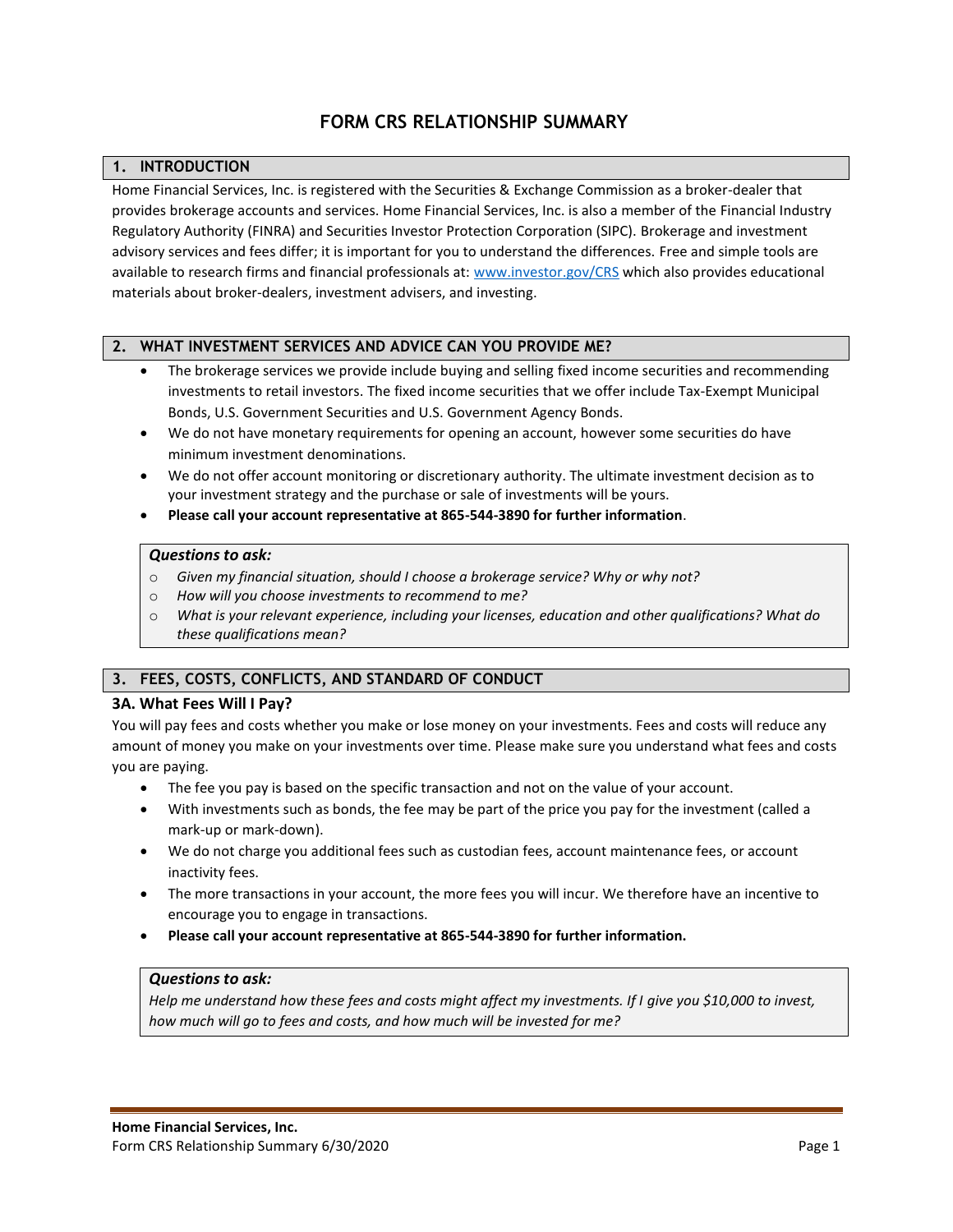# **FORM CRS RELATIONSHIP SUMMARY**

# **1. INTRODUCTION**

Home Financial Services, Inc. is registered with the Securities & Exchange Commission as a broker-dealer that provides brokerage accounts and services. Home Financial Services, Inc. is also a member of the Financial Industry Regulatory Authority (FINRA) and Securities Investor Protection Corporation (SIPC). Brokerage and investment advisory services and fees differ; it is important for you to understand the differences. Free and simple tools are available to research firms and financial professionals at[: www.investor.gov/CRS](http://www.investor.gov/CRS) which also provides educational materials about broker-dealers, investment advisers, and investing.

### **2. WHAT INVESTMENT SERVICES AND ADVICE CAN YOU PROVIDE ME?**

- The brokerage services we provide include buying and selling fixed income securities and recommending investments to retail investors. The fixed income securities that we offer include Tax-Exempt Municipal Bonds, U.S. Government Securities and U.S. Government Agency Bonds.
- We do not have monetary requirements for opening an account, however some securities do have minimum investment denominations.
- We do not offer account monitoring or discretionary authority. The ultimate investment decision as to your investment strategy and the purchase or sale of investments will be yours.
- **Please call your account representative at 865-544-3890 for further information**.

#### *Questions to ask:*

- o *Given my financial situation, should I choose a brokerage service? Why or why not?*
- o *How will you choose investments to recommend to me?*
- o *What is your relevant experience, including your licenses, education and other qualifications? What do these qualifications mean?*

# **3. FEES, COSTS, CONFLICTS, AND STANDARD OF CONDUCT**

### **3A. What Fees Will I Pay?**

You will pay fees and costs whether you make or lose money on your investments. Fees and costs will reduce any amount of money you make on your investments over time. Please make sure you understand what fees and costs you are paying.

- The fee you pay is based on the specific transaction and not on the value of your account.
- With investments such as bonds, the fee may be part of the price you pay for the investment (called a mark-up or mark-down).
- We do not charge you additional fees such as custodian fees, account maintenance fees, or account inactivity fees.
- The more transactions in your account, the more fees you will incur. We therefore have an incentive to encourage you to engage in transactions.
- **Please call your account representative at 865-544-3890 for further information.**

### *Questions to ask:*

*Help me understand how these fees and costs might affect my investments. If I give you \$10,000 to invest, how much will go to fees and costs, and how much will be invested for me?*